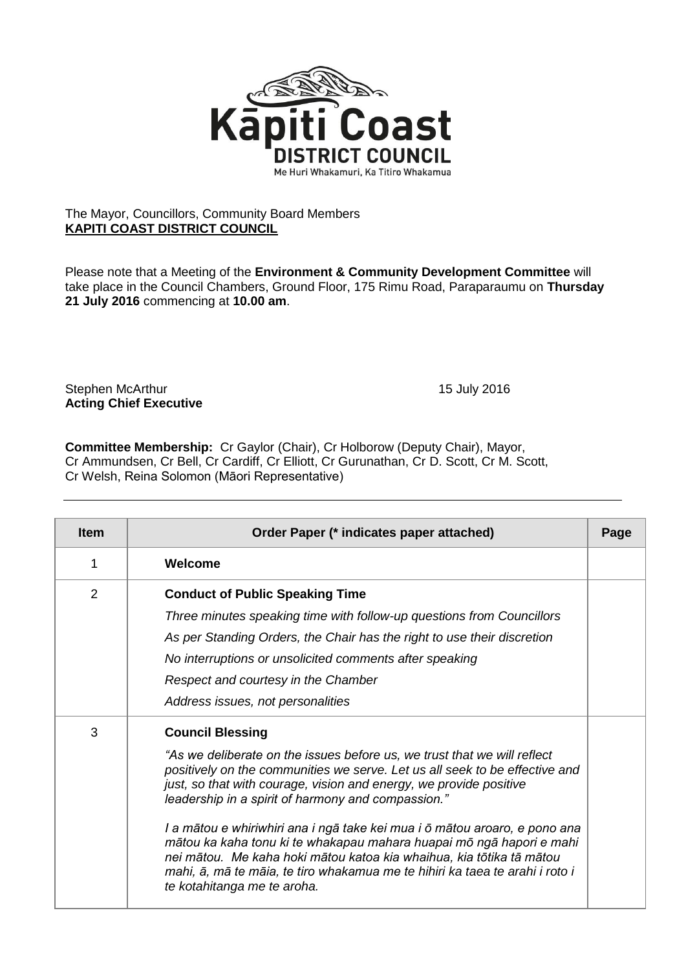

## The Mayor, Councillors, Community Board Members **KAPITI COAST DISTRICT COUNCIL**

Please note that a Meeting of the **Environment & Community Development Committee** will take place in the Council Chambers, Ground Floor, 175 Rimu Road, Paraparaumu on **Thursday 21 July 2016** commencing at **10.00 am**.

## Stephen McArthur 15 July 2016 **Acting Chief Executive**

**Committee Membership:** Cr Gaylor (Chair), Cr Holborow (Deputy Chair), Mayor, Cr Ammundsen, Cr Bell, Cr Cardiff, Cr Elliott, Cr Gurunathan, Cr D. Scott, Cr M. Scott, Cr Welsh, Reina Solomon (Māori Representative)

| <b>Item</b> | Order Paper (* indicates paper attached)                                                                                                                                                                                                                                                                                                  | Page |  |
|-------------|-------------------------------------------------------------------------------------------------------------------------------------------------------------------------------------------------------------------------------------------------------------------------------------------------------------------------------------------|------|--|
| 1           | Welcome                                                                                                                                                                                                                                                                                                                                   |      |  |
| 2           | <b>Conduct of Public Speaking Time</b>                                                                                                                                                                                                                                                                                                    |      |  |
|             | Three minutes speaking time with follow-up questions from Councillors                                                                                                                                                                                                                                                                     |      |  |
|             | As per Standing Orders, the Chair has the right to use their discretion                                                                                                                                                                                                                                                                   |      |  |
|             | No interruptions or unsolicited comments after speaking                                                                                                                                                                                                                                                                                   |      |  |
|             | Respect and courtesy in the Chamber                                                                                                                                                                                                                                                                                                       |      |  |
|             | Address issues, not personalities                                                                                                                                                                                                                                                                                                         |      |  |
| 3           | <b>Council Blessing</b>                                                                                                                                                                                                                                                                                                                   |      |  |
|             | "As we deliberate on the issues before us, we trust that we will reflect<br>positively on the communities we serve. Let us all seek to be effective and<br>just, so that with courage, vision and energy, we provide positive<br>leadership in a spirit of harmony and compassion."                                                       |      |  |
|             | I a mātou e whiriwhiri ana i ngā take kei mua i ō mātou aroaro, e pono ana<br>mātou ka kaha tonu ki te whakapau mahara huapai mō ngā hapori e mahi<br>nei mātou. Me kaha hoki mātou katoa kia whaihua, kia tōtika tā mātou<br>mahi, ā, mā te māia, te tiro whakamua me te hihiri ka taea te arahi i roto i<br>te kotahitanga me te aroha. |      |  |